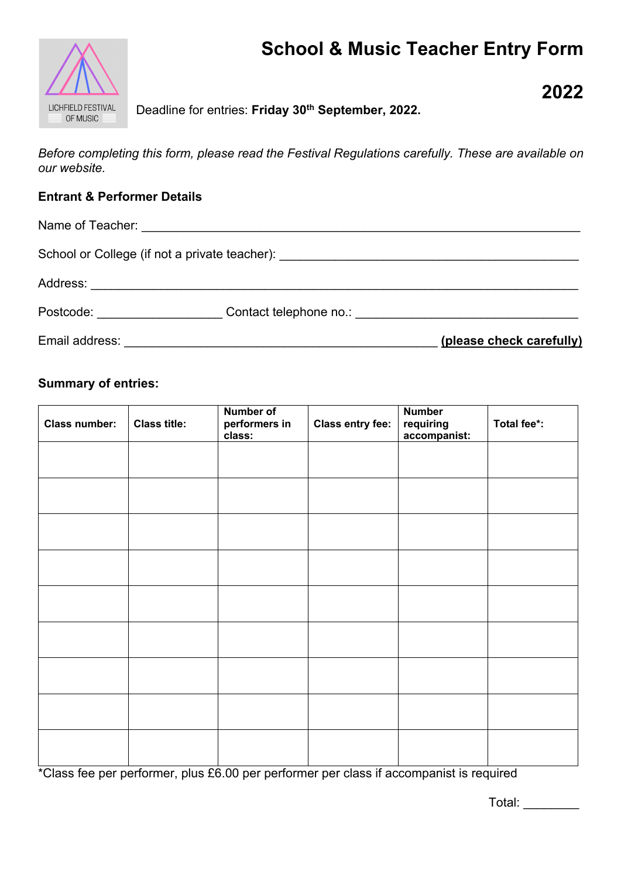# **School & Music Teacher Entry Form**



Deadline for entries: **Friday 30th September, 2022.**

*Before completing this form, please read the Festival Regulations carefully. These are available on our website.*

### **Entrant & Performer Details**

|                                                                                                                                                                                                                               | School or College (if not a private teacher): __________________________________ |                          |
|-------------------------------------------------------------------------------------------------------------------------------------------------------------------------------------------------------------------------------|----------------------------------------------------------------------------------|--------------------------|
|                                                                                                                                                                                                                               |                                                                                  |                          |
| Postcode: with the control of the control of the control of the control of the control of the control of the control of the control of the control of the control of the control of the control of the control of the control | Contact telephone no.: example and the contact telephone no.:                    |                          |
| Email address:                                                                                                                                                                                                                |                                                                                  | (please check carefully) |

### **Summary of entries:**

| Class number: | <b>Class title:</b> | <b>Number of</b><br>performers in<br>class: | <b>Class entry fee:</b> | <b>Number</b><br>requiring<br>accompanist: | Total fee*: |
|---------------|---------------------|---------------------------------------------|-------------------------|--------------------------------------------|-------------|
|               |                     |                                             |                         |                                            |             |
|               |                     |                                             |                         |                                            |             |
|               |                     |                                             |                         |                                            |             |
|               |                     |                                             |                         |                                            |             |
|               |                     |                                             |                         |                                            |             |
|               |                     |                                             |                         |                                            |             |
|               |                     |                                             |                         |                                            |             |
|               |                     |                                             |                         |                                            |             |
|               |                     |                                             |                         |                                            |             |

\*Class fee per performer, plus £6.00 per performer per class if accompanist is required